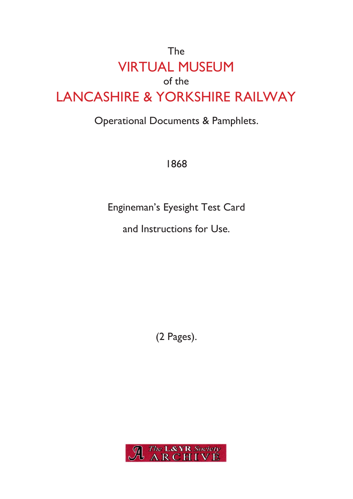## The VIRTUAL MUSEUM of the LANCASHIRE & YORKSHIRE RAILWAY

## Operational Documents & Pamphlets.

1868

Engineman's Eyesight Test Card

and Instructions for Use.

(2 Pages).

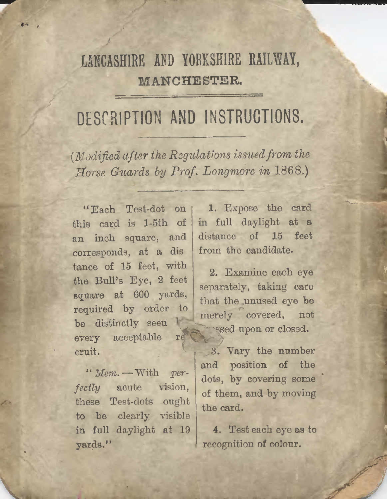## **LANCASHIRE AND YORKSHIRE RAILWAY, MANCHESTER.**

## **DESCRIPTION AND INSTRUCTIONS.**

*( Modified afterthe Regulationsissued from the Horse Guards by Prof. Longmore in* **1808.)**

corresponds, at <sup>a</sup> dis- from the candidate, tance of 15 feet, with the Bull'<sup>s</sup> Eye, <sup>2</sup> feet square at <sup>600</sup> yards, required by order to be distinctly seen l  $every$  acceptable  $r \dot{\epsilon}$ cruit. " Each Test-dot on this card is l-5th of

\*' *Mem.*— With *perfectly* acute vision, these Test-dots ought to be clearly visible in full daylight at 19 yards."

IVU-K

<sup>1</sup>. Expose the card in full daylight at <sup>a</sup> an inch square, and distance of <sup>15</sup> feet

> 2. Examine each eye separately, taking care that the unused eye be merely covered, not ssed upon or closed.

3. Vary the number and position of the dots, by covering some of them, and by moving the card.

4. Test each eye as to recognition of colour.